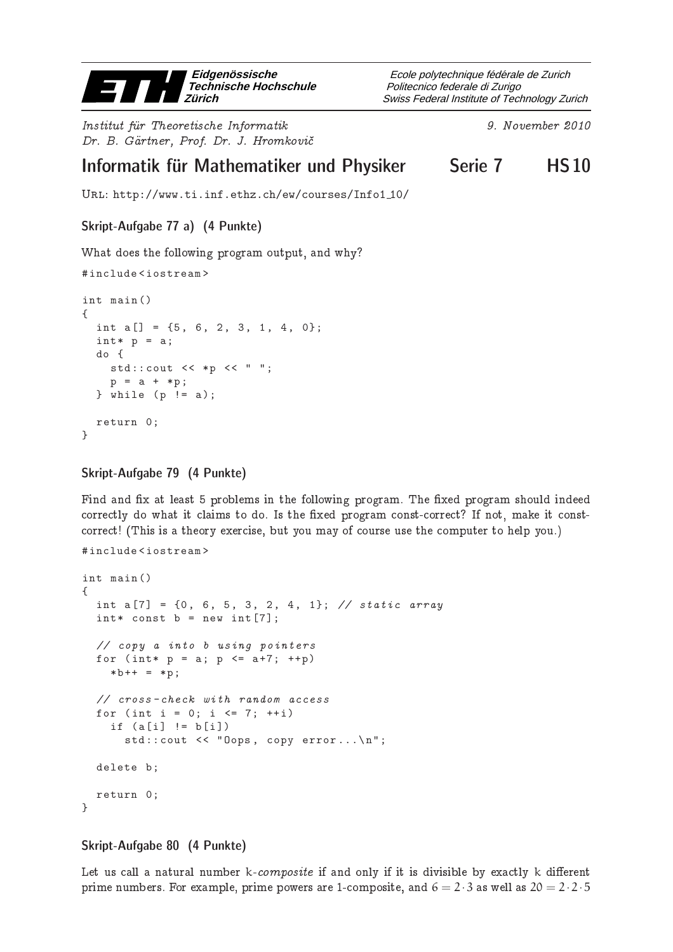**Eidgenossische ¨** 20 H **Technische Hochschule Zurich ¨**

Institut fur Theoretis
he Informatik 9. November <sup>2010</sup> Dr. B. Gartner, Prof. Dr. J. Hromkovi

Swiss Federal Institute of Technology Zurich Politecnico federale di Zurigo Ecole polytechnique fédérale de Zurich

# Informatik für Mathematiker und Physiker Serie 7 in HS10

Url: http://www.ti.inf.ethz.ch/ew/courses/Info1 10/

## Skript-Aufgabe 77 a) (4 Punkte)

when the following program output, and why?

```
# include < iostream >
int main ()
{
  int a [] = {5, 6, 2, 3, 1, 4, 0};
  int* p = a;
  do {
    std::count << *p << " "p = a + *p;} while (p != a);
  return 0;
}
```
### Skript-Aufgabe 79 (4 Punkte)

Find and <sup>x</sup> at least <sup>5</sup> problems in the following program. The xed program should indeed orrecting the common the common the common programme common construction and machine at the common is a this is a this is a through the third is a theory of the three three through the second is the l

```
# include < iostream >
int main ()
{
  int a [7] = \{0, 6, 5, 3, 2, 4, 1\}; // static array
  int * const b = new int [7];// copy a into b using pointers
  for (int* p = a; p \le a+7; ++p)
    *b++ = *p;// cross - check with random access
  for (int i = 0; i \le 7; +i)
    if (a[i] != b[i])std:: cout << "0ops, copy error...\n";
  delete b;
  return 0;
}
```
## Skript-Aufgabe 80 (4 Punkte)

Let us call a natural number k-*composite* if and only if it is divisible by exactly k different prime numbers. For example, prime powers are 1-composite, and  $6 = 2 \cdot 3$  as well as  $20 = 2 \cdot 2 \cdot 5$